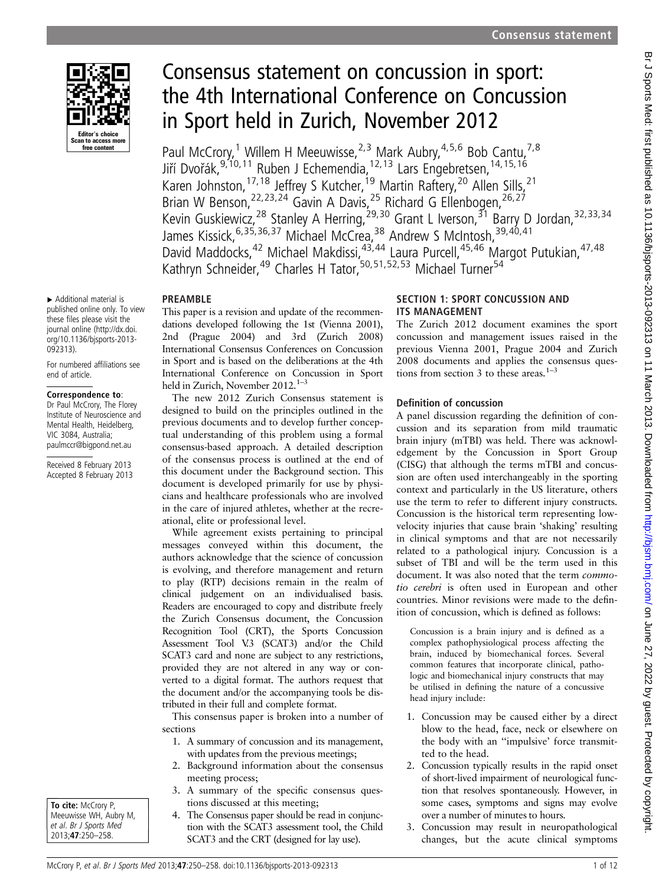

▸ Additional material is published online only. To view these files please visit the journal online [\(http://dx.doi.](http://dx.doi.org/10.1136/bjsports-2013-092313) [org/10.1136/bjsports-2013-](http://dx.doi.org/10.1136/bjsports-2013-092313) [092313](http://dx.doi.org/10.1136/bjsports-2013-092313)).

For numbered affiliations see end of article.

#### Correspondence to:

Dr Paul McCrory, The Florey Institute of Neuroscience and Mental Health, Heidelberg, VIC 3084, Australia; paulmccr@bigpond.net.au

Received 8 February 2013 Accepted 8 February 2013

To cite: McCrory P. Meeuwisse WH, Aubry M, et al. Br J Sports Med 2013;47:250–258.

# Consensus statement on concussion in sport: the 4th International Conference on Concussion in Sport held in Zurich, November 2012

Paul McCrory,<sup>1</sup> Willem H Meeuwisse,<sup>2,3</sup> Mark Aubry,<sup>4,5,6</sup> Bob Cantu,<sup>7,8</sup> Jiří Dvořák, 9,10,11 Ruben J Echemendia, <sup>12,13</sup> Lars Engebretsen, <sup>14,15,16</sup> Karen Johnston, <sup>17, 18</sup> Jeffrey S Kutcher, <sup>19</sup> Martin Raftery, <sup>20</sup> Allen Sills, <sup>21</sup> Brian W Benson, <sup>22, 23, 24</sup> Gavin A Davis, <sup>25</sup> Richard G Ellenbogen, <sup>26, 27</sup> Kevin Guskiewicz,<sup>28</sup> Stanley A Herring,<sup>29,30</sup> Grant L Iverson,<sup>31</sup> Barry D Jordan,<sup>32,33,34</sup> James Kissick, <sup>6, 35, 36, 37</sup> Michael McCrea, <sup>38</sup> Andrew S McIntosh, <sup>39, 40, 41</sup> David Maddocks,<sup>42</sup> Michael Makdissi,<sup>43,44</sup> Laura Purcell,<sup>45,46</sup> Margot Putukian,<sup>47,48</sup> Kathryn Schneider,<sup>49</sup> Charles H Tator,<sup>50,51,52,53</sup> Michael Turner<sup>54</sup>

## PREAMBLE

This paper is a revision and update of the recommendations developed following the 1st (Vienna 2001), 2nd (Prague 2004) and 3rd (Zurich 2008) International Consensus Conferences on Concussion in Sport and is based on the deliberations at the 4th International Conference on Concussion in Sport held in Zurich, November  $2012$ .<sup>1-3</sup>

The new 2012 Zurich Consensus statement is designed to build on the principles outlined in the previous documents and to develop further conceptual understanding of this problem using a formal consensus-based approach. A detailed description of the consensus process is outlined at the end of this document under the Background section. This document is developed primarily for use by physicians and healthcare professionals who are involved in the care of injured athletes, whether at the recreational, elite or professional level.

While agreement exists pertaining to principal messages conveyed within this document, the authors acknowledge that the science of concussion is evolving, and therefore management and return to play (RTP) decisions remain in the realm of clinical judgement on an individualised basis. Readers are encouraged to copy and distribute freely the Zurich Consensus document, the Concussion Recognition Tool (CRT), the Sports Concussion Assessment Tool V.3 (SCAT3) and/or the Child SCAT3 card and none are subject to any restrictions, provided they are not altered in any way or converted to a digital format. The authors request that the document and/or the accompanying tools be distributed in their full and complete format.

This consensus paper is broken into a number of sections

- 1. A summary of concussion and its management, with updates from the previous meetings;
- 2. Background information about the consensus meeting process;
- 3. A summary of the specific consensus questions discussed at this meeting;
- 4. The Consensus paper should be read in conjunction with the SCAT3 assessment tool, the Child SCAT3 and the CRT (designed for lay use).

## SECTION 1: SPORT CONCUSSION AND ITS MANAGEMENT

The Zurich 2012 document examines the sport concussion and management issues raised in the previous Vienna 2001, Prague 2004 and Zurich 2008 documents and applies the consensus questions from section 3 to these areas. $1-3$ 

## Definition of concussion

A panel discussion regarding the definition of concussion and its separation from mild traumatic brain injury (mTBI) was held. There was acknowledgement by the Concussion in Sport Group (CISG) that although the terms mTBI and concussion are often used interchangeably in the sporting context and particularly in the US literature, others use the term to refer to different injury constructs. Concussion is the historical term representing lowvelocity injuries that cause brain 'shaking' resulting in clinical symptoms and that are not necessarily related to a pathological injury. Concussion is a subset of TBI and will be the term used in this document. It was also noted that the term commotio cerebri is often used in European and other countries. Minor revisions were made to the definition of concussion, which is defined as follows:

Concussion is a brain injury and is defined as a complex pathophysiological process affecting the brain, induced by biomechanical forces. Several common features that incorporate clinical, pathologic and biomechanical injury constructs that may be utilised in defining the nature of a concussive head injury include:

- 1. Concussion may be caused either by a direct blow to the head, face, neck or elsewhere on the body with an ''impulsive' force transmitted to the head.
- 2. Concussion typically results in the rapid onset of short-lived impairment of neurological function that resolves spontaneously. However, in some cases, symptoms and signs may evolve over a number of minutes to hours.
- 3. Concussion may result in neuropathological changes, but the acute clinical symptoms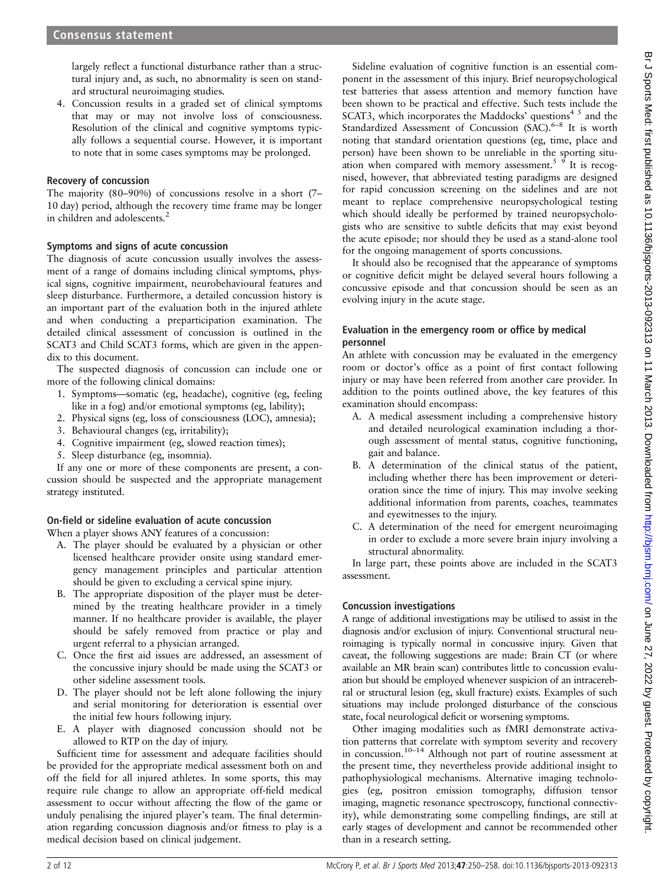largely reflect a functional disturbance rather than a structural injury and, as such, no abnormality is seen on standard structural neuroimaging studies.

4. Concussion results in a graded set of clinical symptoms that may or may not involve loss of consciousness. Resolution of the clinical and cognitive symptoms typically follows a sequential course. However, it is important to note that in some cases symptoms may be prolonged.

## Recovery of concussion

The majority (80–90%) of concussions resolve in a short (7– 10 day) period, although the recovery time frame may be longer in children and adolescents.<sup>2</sup>

## Symptoms and signs of acute concussion

The diagnosis of acute concussion usually involves the assessment of a range of domains including clinical symptoms, physical signs, cognitive impairment, neurobehavioural features and sleep disturbance. Furthermore, a detailed concussion history is an important part of the evaluation both in the injured athlete and when conducting a preparticipation examination. The detailed clinical assessment of concussion is outlined in the SCAT3 and Child SCAT3 forms, which are given in the appendix to this document.

The suspected diagnosis of concussion can include one or more of the following clinical domains:

- 1. Symptoms—somatic (eg, headache), cognitive (eg, feeling like in a fog) and/or emotional symptoms (eg, lability);
- 2. Physical signs (eg, loss of consciousness (LOC), amnesia);
- 3. Behavioural changes (eg, irritability);
- 4. Cognitive impairment (eg, slowed reaction times);
- 5. Sleep disturbance (eg, insomnia).

If any one or more of these components are present, a concussion should be suspected and the appropriate management strategy instituted.

## On-field or sideline evaluation of acute concussion

When a player shows ANY features of a concussion:

- A. The player should be evaluated by a physician or other licensed healthcare provider onsite using standard emergency management principles and particular attention should be given to excluding a cervical spine injury.
- B. The appropriate disposition of the player must be determined by the treating healthcare provider in a timely manner. If no healthcare provider is available, the player should be safely removed from practice or play and urgent referral to a physician arranged.
- C. Once the first aid issues are addressed, an assessment of the concussive injury should be made using the SCAT3 or other sideline assessment tools.
- D. The player should not be left alone following the injury and serial monitoring for deterioration is essential over the initial few hours following injury.
- E. A player with diagnosed concussion should not be allowed to RTP on the day of injury.

Sufficient time for assessment and adequate facilities should be provided for the appropriate medical assessment both on and off the field for all injured athletes. In some sports, this may require rule change to allow an appropriate off-field medical assessment to occur without affecting the flow of the game or unduly penalising the injured player's team. The final determination regarding concussion diagnosis and/or fitness to play is a medical decision based on clinical judgement.

Sideline evaluation of cognitive function is an essential component in the assessment of this injury. Brief neuropsychological test batteries that assess attention and memory function have been shown to be practical and effective. Such tests include the SCAT3, which incorporates the Maddocks' questions<sup>4  $5$ </sup> and the Standardized Assessment of Concussion  $(SAC)$ .<sup>6–8</sup> It is worth noting that standard orientation questions (eg, time, place and person) have been shown to be unreliable in the sporting situation when compared with memory assessment.<sup>5</sup>  $\frac{9}{9}$  It is recognised, however, that abbreviated testing paradigms are designed for rapid concussion screening on the sidelines and are not meant to replace comprehensive neuropsychological testing which should ideally be performed by trained neuropsychologists who are sensitive to subtle deficits that may exist beyond the acute episode; nor should they be used as a stand-alone tool for the ongoing management of sports concussions.

It should also be recognised that the appearance of symptoms or cognitive deficit might be delayed several hours following a concussive episode and that concussion should be seen as an evolving injury in the acute stage.

## Evaluation in the emergency room or office by medical personnel

An athlete with concussion may be evaluated in the emergency room or doctor's office as a point of first contact following injury or may have been referred from another care provider. In addition to the points outlined above, the key features of this examination should encompass:

- A. A medical assessment including a comprehensive history and detailed neurological examination including a thorough assessment of mental status, cognitive functioning, gait and balance.
- B. A determination of the clinical status of the patient, including whether there has been improvement or deterioration since the time of injury. This may involve seeking additional information from parents, coaches, teammates and eyewitnesses to the injury.
- C. A determination of the need for emergent neuroimaging in order to exclude a more severe brain injury involving a structural abnormality.

In large part, these points above are included in the SCAT3 assessment.

## Concussion investigations

A range of additional investigations may be utilised to assist in the diagnosis and/or exclusion of injury. Conventional structural neuroimaging is typically normal in concussive injury. Given that caveat, the following suggestions are made: Brain CT (or where available an MR brain scan) contributes little to concussion evaluation but should be employed whenever suspicion of an intracerebral or structural lesion (eg, skull fracture) exists. Examples of such situations may include prolonged disturbance of the conscious state, focal neurological deficit or worsening symptoms.

Other imaging modalities such as fMRI demonstrate activation patterns that correlate with symptom severity and recovery in concussion.10–<sup>14</sup> Although not part of routine assessment at the present time, they nevertheless provide additional insight to pathophysiological mechanisms. Alternative imaging technologies (eg, positron emission tomography, diffusion tensor imaging, magnetic resonance spectroscopy, functional connectivity), while demonstrating some compelling findings, are still at early stages of development and cannot be recommended other than in a research setting.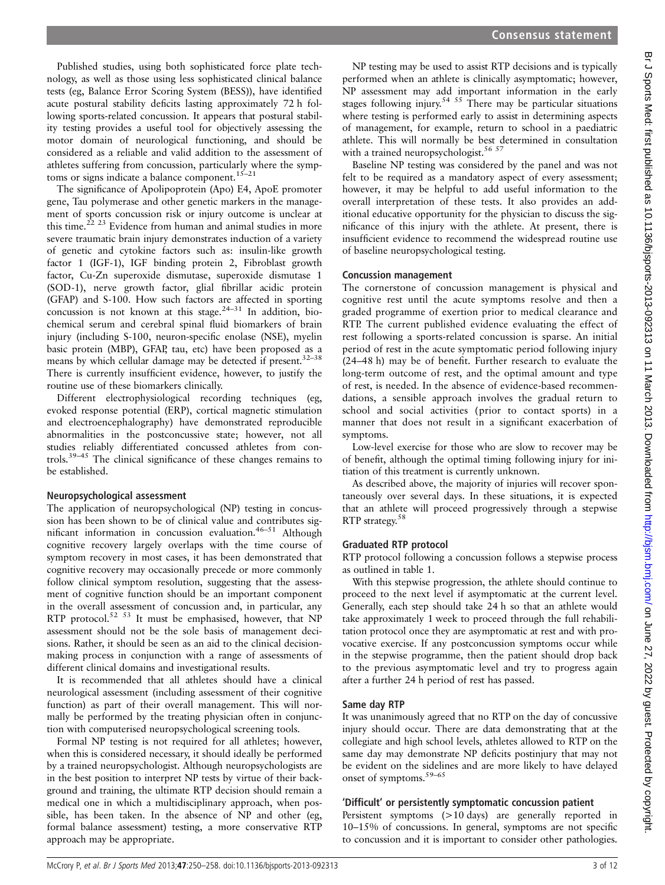Published studies, using both sophisticated force plate technology, as well as those using less sophisticated clinical balance tests (eg, Balance Error Scoring System (BESS)), have identified acute postural stability deficits lasting approximately 72 h following sports-related concussion. It appears that postural stability testing provides a useful tool for objectively assessing the motor domain of neurological functioning, and should be considered as a reliable and valid addition to the assessment of athletes suffering from concussion, particularly where the symptoms or signs indicate a balance component.<sup>15-21</sup>

The significance of Apolipoprotein (Apo) E4, ApoE promoter gene, Tau polymerase and other genetic markers in the management of sports concussion risk or injury outcome is unclear at this time.<sup>22</sup> <sup>23</sup> Evidence from human and animal studies in more severe traumatic brain injury demonstrates induction of a variety of genetic and cytokine factors such as: insulin-like growth factor 1 (IGF-1), IGF binding protein 2, Fibroblast growth factor, Cu-Zn superoxide dismutase, superoxide dismutase 1 (SOD-1), nerve growth factor, glial fibrillar acidic protein (GFAP) and S-100. How such factors are affected in sporting concussion is not known at this stage.<sup>24–31</sup> In addition, biochemical serum and cerebral spinal fluid biomarkers of brain injury (including S-100, neuron-specific enolase (NSE), myelin basic protein (MBP), GFAP, tau, etc) have been proposed as a means by which cellular damage may be detected if present.<sup>32–38</sup> There is currently insufficient evidence, however, to justify the routine use of these biomarkers clinically.

Different electrophysiological recording techniques (eg, evoked response potential (ERP), cortical magnetic stimulation and electroencephalography) have demonstrated reproducible abnormalities in the postconcussive state; however, not all studies reliably differentiated concussed athletes from controls.39–<sup>45</sup> The clinical significance of these changes remains to be established.

## Neuropsychological assessment

The application of neuropsychological (NP) testing in concussion has been shown to be of clinical value and contributes significant information in concussion evaluation.46–<sup>51</sup> Although cognitive recovery largely overlaps with the time course of symptom recovery in most cases, it has been demonstrated that cognitive recovery may occasionally precede or more commonly follow clinical symptom resolution, suggesting that the assessment of cognitive function should be an important component in the overall assessment of concussion and, in particular, any RTP protocol.<sup>52 53</sup> It must be emphasised, however, that NP assessment should not be the sole basis of management decisions. Rather, it should be seen as an aid to the clinical decisionmaking process in conjunction with a range of assessments of different clinical domains and investigational results.

It is recommended that all athletes should have a clinical neurological assessment (including assessment of their cognitive function) as part of their overall management. This will normally be performed by the treating physician often in conjunction with computerised neuropsychological screening tools.

Formal NP testing is not required for all athletes; however, when this is considered necessary, it should ideally be performed by a trained neuropsychologist. Although neuropsychologists are in the best position to interpret NP tests by virtue of their background and training, the ultimate RTP decision should remain a medical one in which a multidisciplinary approach, when possible, has been taken. In the absence of NP and other (eg, formal balance assessment) testing, a more conservative RTP approach may be appropriate.

NP testing may be used to assist RTP decisions and is typically performed when an athlete is clinically asymptomatic; however, NP assessment may add important information in the early stages following injury.<sup>54 55</sup> There may be particular situations where testing is performed early to assist in determining aspects of management, for example, return to school in a paediatric athlete. This will normally be best determined in consultation with a trained neuropsychologist.<sup>56 57</sup>

Baseline NP testing was considered by the panel and was not felt to be required as a mandatory aspect of every assessment; however, it may be helpful to add useful information to the overall interpretation of these tests. It also provides an additional educative opportunity for the physician to discuss the significance of this injury with the athlete. At present, there is insufficient evidence to recommend the widespread routine use of baseline neuropsychological testing.

## Concussion management

The cornerstone of concussion management is physical and cognitive rest until the acute symptoms resolve and then a graded programme of exertion prior to medical clearance and RTP. The current published evidence evaluating the effect of rest following a sports-related concussion is sparse. An initial period of rest in the acute symptomatic period following injury (24–48 h) may be of benefit. Further research to evaluate the long-term outcome of rest, and the optimal amount and type of rest, is needed. In the absence of evidence-based recommendations, a sensible approach involves the gradual return to school and social activities ( prior to contact sports) in a manner that does not result in a significant exacerbation of symptoms.

Low-level exercise for those who are slow to recover may be of benefit, although the optimal timing following injury for initiation of this treatment is currently unknown.

As described above, the majority of injuries will recover spontaneously over several days. In these situations, it is expected that an athlete will proceed progressively through a stepwise RTP strategy.<sup>58</sup>

# Graduated RTP protocol

RTP protocol following a concussion follows a stepwise process as outlined in table 1.

With this stepwise progression, the athlete should continue to proceed to the next level if asymptomatic at the current level. Generally, each step should take 24 h so that an athlete would take approximately 1 week to proceed through the full rehabilitation protocol once they are asymptomatic at rest and with provocative exercise. If any postconcussion symptoms occur while in the stepwise programme, then the patient should drop back to the previous asymptomatic level and try to progress again after a further 24 h period of rest has passed.

## Same day RTP

It was unanimously agreed that no RTP on the day of concussive injury should occur. There are data demonstrating that at the collegiate and high school levels, athletes allowed to RTP on the same day may demonstrate NP deficits postinjury that may not be evident on the sidelines and are more likely to have delayed onset of symptoms.59–<sup>65</sup>

## 'Difficult' or persistently symptomatic concussion patient

Persistent symptoms (>10 days) are generally reported in 10–15% of concussions. In general, symptoms are not specific to concussion and it is important to consider other pathologies.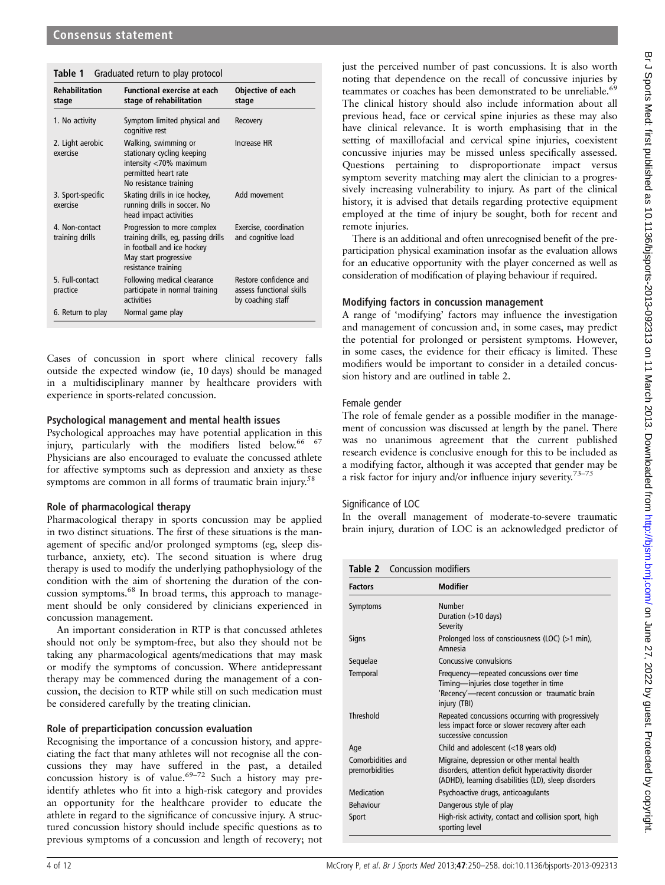#### Table 1 Graduated return to play protocol

| <b>Rehabilitation</b><br>stage    | <b>Functional exercise at each</b><br>stage of rehabilitation                                                                                    | Objective of each<br>stage                                              |
|-----------------------------------|--------------------------------------------------------------------------------------------------------------------------------------------------|-------------------------------------------------------------------------|
| 1. No activity                    | Symptom limited physical and<br>cognitive rest                                                                                                   | Recovery                                                                |
| 2. Light aerobic<br>exercise      | Walking, swimming or<br>stationary cycling keeping<br>intensity <70% maximum<br>permitted heart rate<br>No resistance training                   | Increase HR                                                             |
| 3. Sport-specific<br>exercise     | Skating drills in ice hockey,<br>running drills in soccer. No<br>head impact activities                                                          | Add movement                                                            |
| 4. Non-contact<br>training drills | Progression to more complex<br>training drills, eg, passing drills<br>in football and ice hockey<br>May start progressive<br>resistance training | Exercise, coordination<br>and cognitive load                            |
| 5. Full-contact<br>practice       | Following medical clearance<br>participate in normal training<br>activities                                                                      | Restore confidence and<br>assess functional skills<br>by coaching staff |
| 6. Return to play                 | Normal game play                                                                                                                                 |                                                                         |

Cases of concussion in sport where clinical recovery falls outside the expected window (ie, 10 days) should be managed in a multidisciplinary manner by healthcare providers with experience in sports-related concussion.

## Psychological management and mental health issues

Psychological approaches may have potential application in this injury, particularly with the modifiers listed below.<sup>66 67</sup> Physicians are also encouraged to evaluate the concussed athlete for affective symptoms such as depression and anxiety as these symptoms are common in all forms of traumatic brain injury.<sup>58</sup>

## Role of pharmacological therapy

Pharmacological therapy in sports concussion may be applied in two distinct situations. The first of these situations is the management of specific and/or prolonged symptoms (eg, sleep disturbance, anxiety, etc). The second situation is where drug therapy is used to modify the underlying pathophysiology of the condition with the aim of shortening the duration of the concussion symptoms.<sup>68</sup> In broad terms, this approach to management should be only considered by clinicians experienced in concussion management.

An important consideration in RTP is that concussed athletes should not only be symptom-free, but also they should not be taking any pharmacological agents/medications that may mask or modify the symptoms of concussion. Where antidepressant therapy may be commenced during the management of a concussion, the decision to RTP while still on such medication must be considered carefully by the treating clinician.

## Role of preparticipation concussion evaluation

Recognising the importance of a concussion history, and appreciating the fact that many athletes will not recognise all the concussions they may have suffered in the past, a detailed concussion history is of value.<sup>69-72</sup> Such a history may preidentify athletes who fit into a high-risk category and provides an opportunity for the healthcare provider to educate the athlete in regard to the significance of concussive injury. A structured concussion history should include specific questions as to previous symptoms of a concussion and length of recovery; not

just the perceived number of past concussions. It is also worth noting that dependence on the recall of concussive injuries by teammates or coaches has been demonstrated to be unreliable.<sup>69</sup> The clinical history should also include information about all previous head, face or cervical spine injuries as these may also have clinical relevance. It is worth emphasising that in the setting of maxillofacial and cervical spine injuries, coexistent concussive injuries may be missed unless specifically assessed. Questions pertaining to disproportionate impact versus symptom severity matching may alert the clinician to a progressively increasing vulnerability to injury. As part of the clinical history, it is advised that details regarding protective equipment employed at the time of injury be sought, both for recent and remote injuries.

There is an additional and often unrecognised benefit of the preparticipation physical examination insofar as the evaluation allows for an educative opportunity with the player concerned as well as consideration of modification of playing behaviour if required.

## Modifying factors in concussion management

A range of 'modifying' factors may influence the investigation and management of concussion and, in some cases, may predict the potential for prolonged or persistent symptoms. However, in some cases, the evidence for their efficacy is limited. These modifiers would be important to consider in a detailed concussion history and are outlined in table 2.

#### Female gender

The role of female gender as a possible modifier in the management of concussion was discussed at length by the panel. There was no unanimous agreement that the current published research evidence is conclusive enough for this to be included as a modifying factor, although it was accepted that gender may be a risk factor for injury and/or influence injury severity.73–<sup>75</sup>

## Significance of LOC

In the overall management of moderate-to-severe traumatic brain injury, duration of LOC is an acknowledged predictor of

| <b>Table 2</b> Concussion modifiers |                                                                                                                                                           |  |
|-------------------------------------|-----------------------------------------------------------------------------------------------------------------------------------------------------------|--|
| <b>Factors</b>                      | Modifier                                                                                                                                                  |  |
| Symptoms                            | Number<br>Duration (>10 days)<br>Severity                                                                                                                 |  |
| Signs                               | Prolonged loss of consciousness (LOC) (>1 min),<br>Amnesia                                                                                                |  |
| Sequelae                            | Concussive convulsions                                                                                                                                    |  |
| <b>Temporal</b>                     | Frequency-repeated concussions over time<br>Timing-injuries close together in time<br>'Recency'-recent concussion or traumatic brain<br>injury (TBI)      |  |
| Threshold                           | Repeated concussions occurring with progressively<br>less impact force or slower recovery after each<br>successive concussion                             |  |
| Age                                 | Child and adolescent $\left($ < 18 years old)                                                                                                             |  |
| Comorbidities and<br>premorbidities | Migraine, depression or other mental health<br>disorders, attention deficit hyperactivity disorder<br>(ADHD), learning disabilities (LD), sleep disorders |  |
| Medication                          | Psychoactive drugs, anticoagulants                                                                                                                        |  |
| <b>Behaviour</b>                    | Dangerous style of play                                                                                                                                   |  |
| Sport                               | High-risk activity, contact and collision sport, high<br>sporting level                                                                                   |  |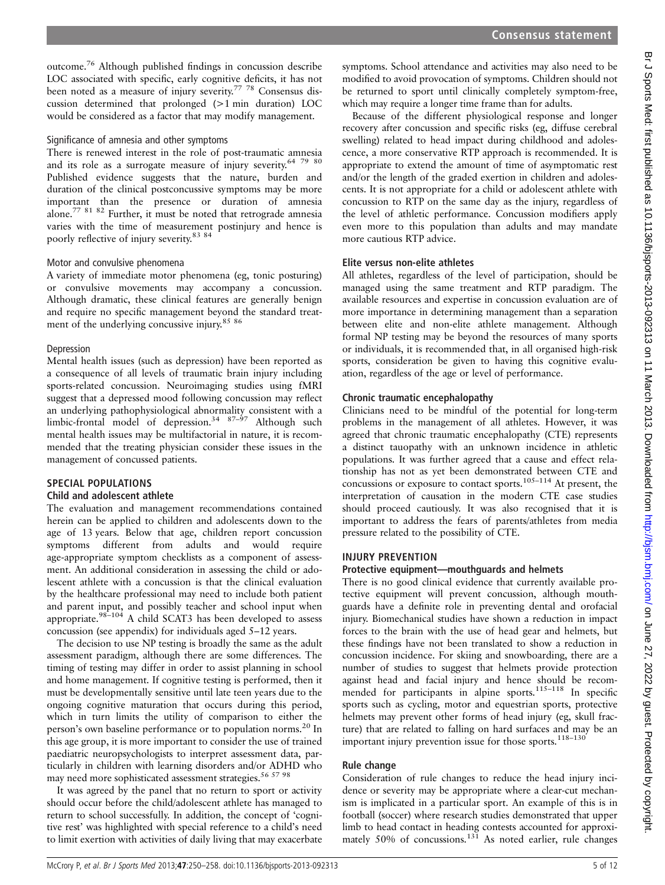Br J Sports Med: first published as 10.1136/bjsports-2013-092313 on 11 March 2013. Downloaded from http://bjsm.bmj.com/ on June 27, 2022 by guest. Protected by copyright Br J Sports Med: first published as 10.1136/bjsports-2013-009219 on 11 March 2013. Downloaded from <http://bjsm.bmj.com/> On June 27, 2022 by guest. Protected by copyright.

outcome.<sup>76</sup> Although published findings in concussion describe LOC associated with specific, early cognitive deficits, it has not been noted as a measure of injury severity.<sup>77</sup> <sup>78</sup> Consensus discussion determined that prolonged (>1 min duration) LOC would be considered as a factor that may modify management.

#### Significance of amnesia and other symptoms

There is renewed interest in the role of post-traumatic amnesia and its role as a surrogate measure of injury severity.<sup>64</sup> 79 80 Published evidence suggests that the nature, burden and duration of the clinical postconcussive symptoms may be more important than the presence or duration of amnesia alone.77 81 82 Further, it must be noted that retrograde amnesia varies with the time of measurement postinjury and hence is poorly reflective of injury severity.83 84

## Motor and convulsive phenomena

A variety of immediate motor phenomena (eg, tonic posturing) or convulsive movements may accompany a concussion. Although dramatic, these clinical features are generally benign and require no specific management beyond the standard treatment of the underlying concussive injury.<sup>85 86</sup>

## Depression

Mental health issues (such as depression) have been reported as a consequence of all levels of traumatic brain injury including sports-related concussion. Neuroimaging studies using fMRI suggest that a depressed mood following concussion may reflect an underlying pathophysiological abnormality consistent with a limbic-frontal model of depression.<sup>34</sup>  $87-\frac{6}{7}$  Although such mental health issues may be multifactorial in nature, it is recommended that the treating physician consider these issues in the management of concussed patients.

## SPECIAL POPULATIONS

#### Child and adolescent athlete

The evaluation and management recommendations contained herein can be applied to children and adolescents down to the age of 13 years. Below that age, children report concussion symptoms different from adults and would require age-appropriate symptom checklists as a component of assessment. An additional consideration in assessing the child or adolescent athlete with a concussion is that the clinical evaluation by the healthcare professional may need to include both patient and parent input, and possibly teacher and school input when appropriate.<sup>98-104</sup> A child SCAT3 has been developed to assess concussion (see appendix) for individuals aged 5–12 years.

The decision to use NP testing is broadly the same as the adult assessment paradigm, although there are some differences. The timing of testing may differ in order to assist planning in school and home management. If cognitive testing is performed, then it must be developmentally sensitive until late teen years due to the ongoing cognitive maturation that occurs during this period, which in turn limits the utility of comparison to either the person's own baseline performance or to population norms.<sup>20</sup> In this age group, it is more important to consider the use of trained paediatric neuropsychologists to interpret assessment data, particularly in children with learning disorders and/or ADHD who may need more sophisticated assessment strategies.<sup>56 57 98</sup>

It was agreed by the panel that no return to sport or activity should occur before the child/adolescent athlete has managed to return to school successfully. In addition, the concept of 'cognitive rest' was highlighted with special reference to a child's need to limit exertion with activities of daily living that may exacerbate

symptoms. School attendance and activities may also need to be modified to avoid provocation of symptoms. Children should not be returned to sport until clinically completely symptom-free, which may require a longer time frame than for adults.

Because of the different physiological response and longer recovery after concussion and specific risks (eg, diffuse cerebral swelling) related to head impact during childhood and adolescence, a more conservative RTP approach is recommended. It is appropriate to extend the amount of time of asymptomatic rest and/or the length of the graded exertion in children and adolescents. It is not appropriate for a child or adolescent athlete with concussion to RTP on the same day as the injury, regardless of the level of athletic performance. Concussion modifiers apply even more to this population than adults and may mandate more cautious RTP advice.

## Elite versus non-elite athletes

All athletes, regardless of the level of participation, should be managed using the same treatment and RTP paradigm. The available resources and expertise in concussion evaluation are of more importance in determining management than a separation between elite and non-elite athlete management. Although formal NP testing may be beyond the resources of many sports or individuals, it is recommended that, in all organised high-risk sports, consideration be given to having this cognitive evaluation, regardless of the age or level of performance.

## Chronic traumatic encephalopathy

Clinicians need to be mindful of the potential for long-term problems in the management of all athletes. However, it was agreed that chronic traumatic encephalopathy (CTE) represents a distinct tauopathy with an unknown incidence in athletic populations. It was further agreed that a cause and effect relationship has not as yet been demonstrated between CTE and concussions or exposure to contact sports.<sup>105–114</sup> At present, the interpretation of causation in the modern CTE case studies should proceed cautiously. It was also recognised that it is important to address the fears of parents/athletes from media pressure related to the possibility of CTE.

## INJURY PREVENTION

#### Protective equipment—mouthguards and helmets

There is no good clinical evidence that currently available protective equipment will prevent concussion, although mouthguards have a definite role in preventing dental and orofacial injury. Biomechanical studies have shown a reduction in impact forces to the brain with the use of head gear and helmets, but these findings have not been translated to show a reduction in concussion incidence. For skiing and snowboarding, there are a number of studies to suggest that helmets provide protection against head and facial injury and hence should be recommended for participants in alpine sports. $115-118$  In specific sports such as cycling, motor and equestrian sports, protective helmets may prevent other forms of head injury (eg, skull fracture) that are related to falling on hard surfaces and may be an important injury prevention issue for those sports. $118-130$ 

## Rule change

Consideration of rule changes to reduce the head injury incidence or severity may be appropriate where a clear-cut mechanism is implicated in a particular sport. An example of this is in football (soccer) where research studies demonstrated that upper limb to head contact in heading contests accounted for approximately 50% of concussions.<sup>131</sup> As noted earlier, rule changes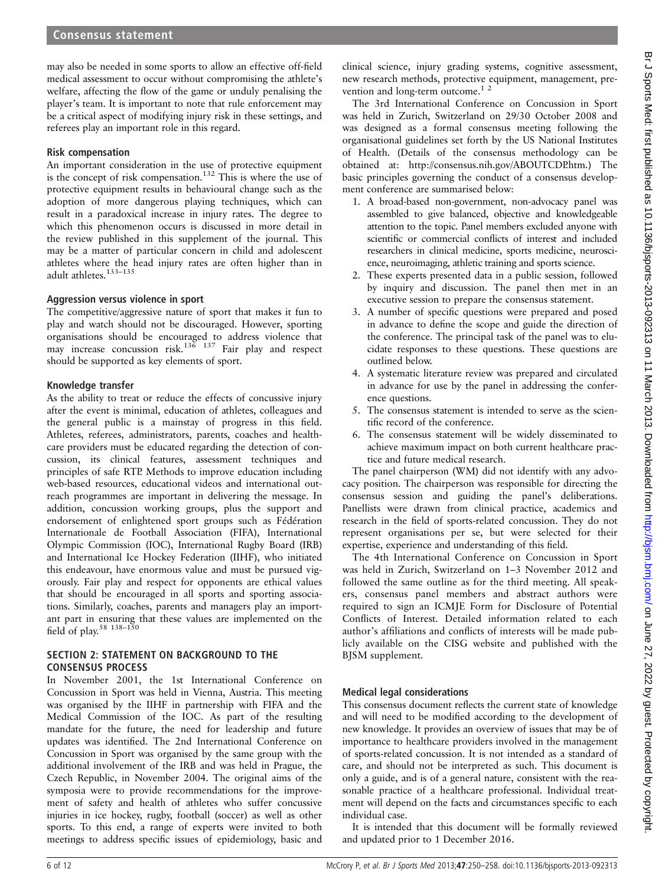may also be needed in some sports to allow an effective off-field medical assessment to occur without compromising the athlete's welfare, affecting the flow of the game or unduly penalising the player's team. It is important to note that rule enforcement may be a critical aspect of modifying injury risk in these settings, and referees play an important role in this regard.

#### Risk compensation

An important consideration in the use of protective equipment is the concept of risk compensation.<sup>132</sup> This is where the use of protective equipment results in behavioural change such as the adoption of more dangerous playing techniques, which can result in a paradoxical increase in injury rates. The degree to which this phenomenon occurs is discussed in more detail in the review published in this supplement of the journal. This may be a matter of particular concern in child and adolescent athletes where the head injury rates are often higher than in adult athletes.<sup>133-135</sup>

#### Aggression versus violence in sport

The competitive/aggressive nature of sport that makes it fun to play and watch should not be discouraged. However, sporting organisations should be encouraged to address violence that may increase concussion risk.<sup>136</sup> <sup>137</sup> Fair play and respect should be supported as key elements of sport.

#### Knowledge transfer

As the ability to treat or reduce the effects of concussive injury after the event is minimal, education of athletes, colleagues and the general public is a mainstay of progress in this field. Athletes, referees, administrators, parents, coaches and healthcare providers must be educated regarding the detection of concussion, its clinical features, assessment techniques and principles of safe RTP. Methods to improve education including web-based resources, educational videos and international outreach programmes are important in delivering the message. In addition, concussion working groups, plus the support and endorsement of enlightened sport groups such as Fédération Internationale de Football Association (FIFA), International Olympic Commission (IOC), International Rugby Board (IRB) and International Ice Hockey Federation (IIHF), who initiated this endeavour, have enormous value and must be pursued vigorously. Fair play and respect for opponents are ethical values that should be encouraged in all sports and sporting associations. Similarly, coaches, parents and managers play an important part in ensuring that these values are implemented on the field of play.<sup>58 138-150</sup>

#### SECTION 2: STATEMENT ON BACKGROUND TO THE CONSENSUS PROCESS

In November 2001, the 1st International Conference on Concussion in Sport was held in Vienna, Austria. This meeting was organised by the IIHF in partnership with FIFA and the Medical Commission of the IOC. As part of the resulting mandate for the future, the need for leadership and future updates was identified. The 2nd International Conference on Concussion in Sport was organised by the same group with the additional involvement of the IRB and was held in Prague, the Czech Republic, in November 2004. The original aims of the symposia were to provide recommendations for the improvement of safety and health of athletes who suffer concussive injuries in ice hockey, rugby, football (soccer) as well as other sports. To this end, a range of experts were invited to both meetings to address specific issues of epidemiology, basic and clinical science, injury grading systems, cognitive assessment, new research methods, protective equipment, management, prevention and long-term outcome.<sup>12</sup>

The 3rd International Conference on Concussion in Sport was held in Zurich, Switzerland on 29/30 October 2008 and was designed as a formal consensus meeting following the organisational guidelines set forth by the US National Institutes of Health. (Details of the consensus methodology can be obtained at: [http://consensus.nih.gov/ABOUTCDP.htm.\)](http://consensus.nih.gov/ABOUTCDP.htm.) The basic principles governing the conduct of a consensus development conference are summarised below:

- 1. A broad-based non-government, non-advocacy panel was assembled to give balanced, objective and knowledgeable attention to the topic. Panel members excluded anyone with scientific or commercial conflicts of interest and included researchers in clinical medicine, sports medicine, neuroscience, neuroimaging, athletic training and sports science.
- 2. These experts presented data in a public session, followed by inquiry and discussion. The panel then met in an executive session to prepare the consensus statement.
- 3. A number of specific questions were prepared and posed in advance to define the scope and guide the direction of the conference. The principal task of the panel was to elucidate responses to these questions. These questions are outlined below.
- 4. A systematic literature review was prepared and circulated in advance for use by the panel in addressing the conference questions.
- 5. The consensus statement is intended to serve as the scientific record of the conference.
- 6. The consensus statement will be widely disseminated to achieve maximum impact on both current healthcare practice and future medical research.

The panel chairperson (WM) did not identify with any advocacy position. The chairperson was responsible for directing the consensus session and guiding the panel's deliberations. Panellists were drawn from clinical practice, academics and research in the field of sports-related concussion. They do not represent organisations per se, but were selected for their expertise, experience and understanding of this field.

The 4th International Conference on Concussion in Sport was held in Zurich, Switzerland on 1–3 November 2012 and followed the same outline as for the third meeting. All speakers, consensus panel members and abstract authors were required to sign an ICMJE Form for Disclosure of Potential Conflicts of Interest. Detailed information related to each author's affiliations and conflicts of interests will be made publicly available on the CISG website and published with the BJSM supplement.

#### Medical legal considerations

This consensus document reflects the current state of knowledge and will need to be modified according to the development of new knowledge. It provides an overview of issues that may be of importance to healthcare providers involved in the management of sports-related concussion. It is not intended as a standard of care, and should not be interpreted as such. This document is only a guide, and is of a general nature, consistent with the reasonable practice of a healthcare professional. Individual treatment will depend on the facts and circumstances specific to each individual case.

It is intended that this document will be formally reviewed and updated prior to 1 December 2016.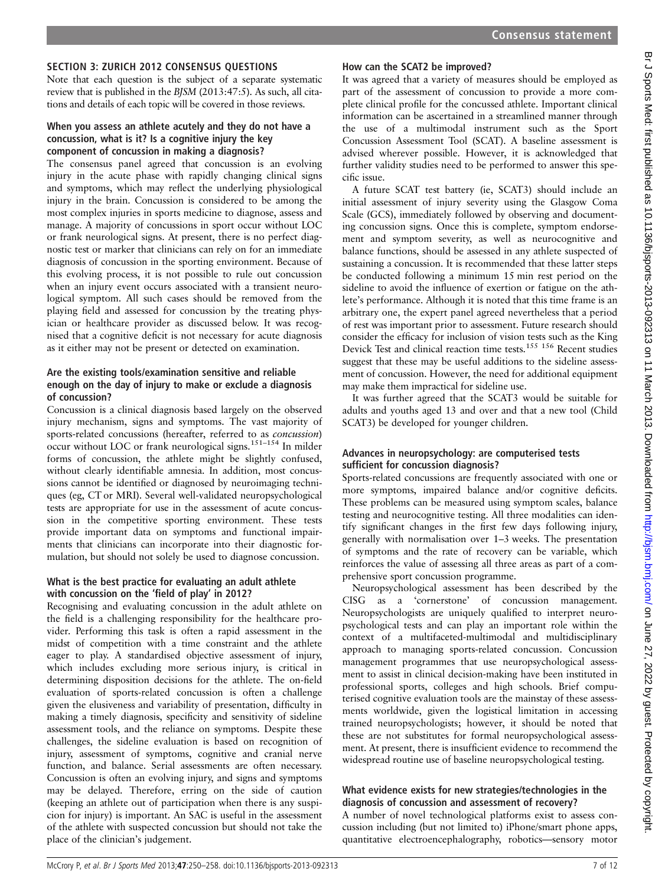## SECTION 3: ZURICH 2012 CONSENSUS QUESTIONS

Note that each question is the subject of a separate systematic review that is published in the BJSM (2013:47:5). As such, all citations and details of each topic will be covered in those reviews.

#### When you assess an athlete acutely and they do not have a concussion, what is it? Is a cognitive injury the key component of concussion in making a diagnosis?

The consensus panel agreed that concussion is an evolving injury in the acute phase with rapidly changing clinical signs and symptoms, which may reflect the underlying physiological injury in the brain. Concussion is considered to be among the most complex injuries in sports medicine to diagnose, assess and manage. A majority of concussions in sport occur without LOC or frank neurological signs. At present, there is no perfect diagnostic test or marker that clinicians can rely on for an immediate diagnosis of concussion in the sporting environment. Because of this evolving process, it is not possible to rule out concussion when an injury event occurs associated with a transient neurological symptom. All such cases should be removed from the playing field and assessed for concussion by the treating physician or healthcare provider as discussed below. It was recognised that a cognitive deficit is not necessary for acute diagnosis as it either may not be present or detected on examination.

## Are the existing tools/examination sensitive and reliable enough on the day of injury to make or exclude a diagnosis of concussion?

Concussion is a clinical diagnosis based largely on the observed injury mechanism, signs and symptoms. The vast majority of sports-related concussions (hereafter, referred to as concussion) occur without LOC or frank neurological signs.151–<sup>154</sup> In milder forms of concussion, the athlete might be slightly confused, without clearly identifiable amnesia. In addition, most concussions cannot be identified or diagnosed by neuroimaging techniques (eg, CT or MRI). Several well-validated neuropsychological tests are appropriate for use in the assessment of acute concussion in the competitive sporting environment. These tests provide important data on symptoms and functional impairments that clinicians can incorporate into their diagnostic formulation, but should not solely be used to diagnose concussion.

## What is the best practice for evaluating an adult athlete with concussion on the 'field of play' in 2012?

Recognising and evaluating concussion in the adult athlete on the field is a challenging responsibility for the healthcare provider. Performing this task is often a rapid assessment in the midst of competition with a time constraint and the athlete eager to play. A standardised objective assessment of injury, which includes excluding more serious injury, is critical in determining disposition decisions for the athlete. The on-field evaluation of sports-related concussion is often a challenge given the elusiveness and variability of presentation, difficulty in making a timely diagnosis, specificity and sensitivity of sideline assessment tools, and the reliance on symptoms. Despite these challenges, the sideline evaluation is based on recognition of injury, assessment of symptoms, cognitive and cranial nerve function, and balance. Serial assessments are often necessary. Concussion is often an evolving injury, and signs and symptoms may be delayed. Therefore, erring on the side of caution (keeping an athlete out of participation when there is any suspicion for injury) is important. An SAC is useful in the assessment of the athlete with suspected concussion but should not take the place of the clinician's judgement.

#### How can the SCAT2 be improved?

It was agreed that a variety of measures should be employed as part of the assessment of concussion to provide a more complete clinical profile for the concussed athlete. Important clinical information can be ascertained in a streamlined manner through the use of a multimodal instrument such as the Sport Concussion Assessment Tool (SCAT). A baseline assessment is advised wherever possible. However, it is acknowledged that further validity studies need to be performed to answer this specific issue.

A future SCAT test battery (ie, SCAT3) should include an initial assessment of injury severity using the Glasgow Coma Scale (GCS), immediately followed by observing and documenting concussion signs. Once this is complete, symptom endorsement and symptom severity, as well as neurocognitive and balance functions, should be assessed in any athlete suspected of sustaining a concussion. It is recommended that these latter steps be conducted following a minimum 15 min rest period on the sideline to avoid the influence of exertion or fatigue on the athlete's performance. Although it is noted that this time frame is an arbitrary one, the expert panel agreed nevertheless that a period of rest was important prior to assessment. Future research should consider the efficacy for inclusion of vision tests such as the King Devick Test and clinical reaction time tests.<sup>155</sup> 156 Recent studies suggest that these may be useful additions to the sideline assessment of concussion. However, the need for additional equipment may make them impractical for sideline use.

It was further agreed that the SCAT3 would be suitable for adults and youths aged 13 and over and that a new tool (Child SCAT3) be developed for younger children.

## Advances in neuropsychology: are computerised tests sufficient for concussion diagnosis?

Sports-related concussions are frequently associated with one or more symptoms, impaired balance and/or cognitive deficits. These problems can be measured using symptom scales, balance testing and neurocognitive testing. All three modalities can identify significant changes in the first few days following injury, generally with normalisation over 1–3 weeks. The presentation of symptoms and the rate of recovery can be variable, which reinforces the value of assessing all three areas as part of a comprehensive sport concussion programme.

Neuropsychological assessment has been described by the CISG as a 'cornerstone' of concussion management. Neuropsychologists are uniquely qualified to interpret neuropsychological tests and can play an important role within the context of a multifaceted-multimodal and multidisciplinary approach to managing sports-related concussion. Concussion management programmes that use neuropsychological assessment to assist in clinical decision-making have been instituted in professional sports, colleges and high schools. Brief computerised cognitive evaluation tools are the mainstay of these assessments worldwide, given the logistical limitation in accessing trained neuropsychologists; however, it should be noted that these are not substitutes for formal neuropsychological assessment. At present, there is insufficient evidence to recommend the widespread routine use of baseline neuropsychological testing.

## What evidence exists for new strategies/technologies in the diagnosis of concussion and assessment of recovery?

A number of novel technological platforms exist to assess concussion including (but not limited to) iPhone/smart phone apps, quantitative electroencephalography, robotics—sensory motor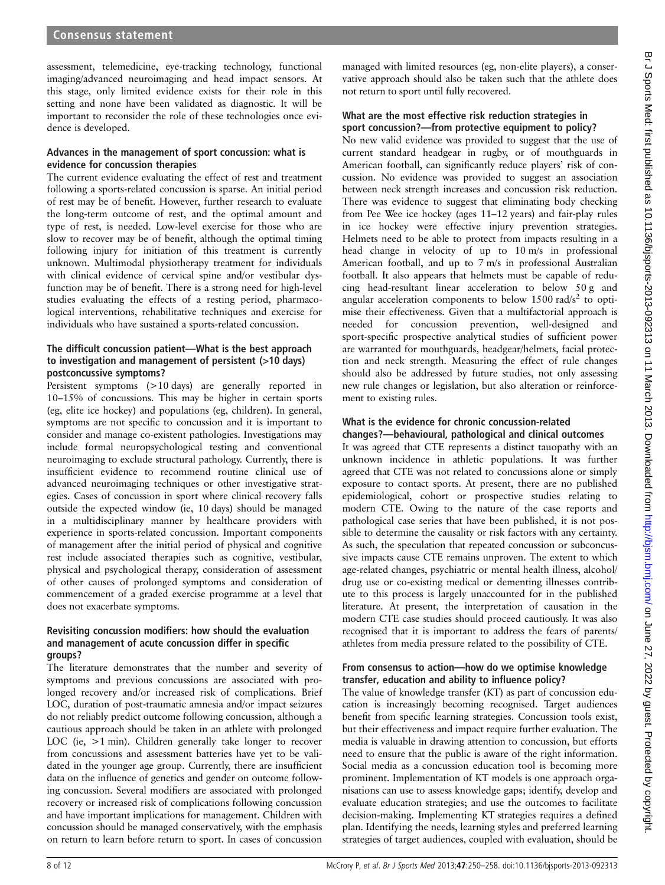assessment, telemedicine, eye-tracking technology, functional imaging/advanced neuroimaging and head impact sensors. At this stage, only limited evidence exists for their role in this setting and none have been validated as diagnostic. It will be important to reconsider the role of these technologies once evidence is developed.

## Advances in the management of sport concussion: what is evidence for concussion therapies

The current evidence evaluating the effect of rest and treatment following a sports-related concussion is sparse. An initial period of rest may be of benefit. However, further research to evaluate the long-term outcome of rest, and the optimal amount and type of rest, is needed. Low-level exercise for those who are slow to recover may be of benefit, although the optimal timing following injury for initiation of this treatment is currently unknown. Multimodal physiotherapy treatment for individuals with clinical evidence of cervical spine and/or vestibular dysfunction may be of benefit. There is a strong need for high-level studies evaluating the effects of a resting period, pharmacological interventions, rehabilitative techniques and exercise for individuals who have sustained a sports-related concussion.

#### The difficult concussion patient—What is the best approach to investigation and management of persistent (>10 days) postconcussive symptoms?

Persistent symptoms (>10 days) are generally reported in 10–15% of concussions. This may be higher in certain sports (eg, elite ice hockey) and populations (eg, children). In general, symptoms are not specific to concussion and it is important to consider and manage co-existent pathologies. Investigations may include formal neuropsychological testing and conventional neuroimaging to exclude structural pathology. Currently, there is insufficient evidence to recommend routine clinical use of advanced neuroimaging techniques or other investigative strategies. Cases of concussion in sport where clinical recovery falls outside the expected window (ie, 10 days) should be managed in a multidisciplinary manner by healthcare providers with experience in sports-related concussion. Important components of management after the initial period of physical and cognitive rest include associated therapies such as cognitive, vestibular, physical and psychological therapy, consideration of assessment of other causes of prolonged symptoms and consideration of commencement of a graded exercise programme at a level that does not exacerbate symptoms.

## Revisiting concussion modifiers: how should the evaluation and management of acute concussion differ in specific groups?

The literature demonstrates that the number and severity of symptoms and previous concussions are associated with prolonged recovery and/or increased risk of complications. Brief LOC, duration of post-traumatic amnesia and/or impact seizures do not reliably predict outcome following concussion, although a cautious approach should be taken in an athlete with prolonged LOC (ie, >1 min). Children generally take longer to recover from concussions and assessment batteries have yet to be validated in the younger age group. Currently, there are insufficient data on the influence of genetics and gender on outcome following concussion. Several modifiers are associated with prolonged recovery or increased risk of complications following concussion and have important implications for management. Children with concussion should be managed conservatively, with the emphasis on return to learn before return to sport. In cases of concussion

managed with limited resources (eg, non-elite players), a conservative approach should also be taken such that the athlete does not return to sport until fully recovered.

## What are the most effective risk reduction strategies in sport concussion?—from protective equipment to policy?

No new valid evidence was provided to suggest that the use of current standard headgear in rugby, or of mouthguards in American football, can significantly reduce players' risk of concussion. No evidence was provided to suggest an association between neck strength increases and concussion risk reduction. There was evidence to suggest that eliminating body checking from Pee Wee ice hockey (ages 11–12 years) and fair-play rules in ice hockey were effective injury prevention strategies. Helmets need to be able to protect from impacts resulting in a head change in velocity of up to 10 m/s in professional American football, and up to 7 m/s in professional Australian football. It also appears that helmets must be capable of reducing head-resultant linear acceleration to below 50 g and angular acceleration components to below  $1500 \text{ rad/s}^2$  to optimise their effectiveness. Given that a multifactorial approach is needed for concussion prevention, well-designed and sport-specific prospective analytical studies of sufficient power are warranted for mouthguards, headgear/helmets, facial protection and neck strength. Measuring the effect of rule changes should also be addressed by future studies, not only assessing new rule changes or legislation, but also alteration or reinforcement to existing rules.

#### What is the evidence for chronic concussion-related changes?—behavioural, pathological and clinical outcomes

It was agreed that CTE represents a distinct tauopathy with an unknown incidence in athletic populations. It was further agreed that CTE was not related to concussions alone or simply exposure to contact sports. At present, there are no published epidemiological, cohort or prospective studies relating to modern CTE. Owing to the nature of the case reports and pathological case series that have been published, it is not possible to determine the causality or risk factors with any certainty. As such, the speculation that repeated concussion or subconcussive impacts cause CTE remains unproven. The extent to which age-related changes, psychiatric or mental health illness, alcohol/ drug use or co-existing medical or dementing illnesses contribute to this process is largely unaccounted for in the published literature. At present, the interpretation of causation in the modern CTE case studies should proceed cautiously. It was also recognised that it is important to address the fears of parents/ athletes from media pressure related to the possibility of CTE.

## From consensus to action—how do we optimise knowledge transfer, education and ability to influence policy?

The value of knowledge transfer (KT) as part of concussion education is increasingly becoming recognised. Target audiences benefit from specific learning strategies. Concussion tools exist, but their effectiveness and impact require further evaluation. The media is valuable in drawing attention to concussion, but efforts need to ensure that the public is aware of the right information. Social media as a concussion education tool is becoming more prominent. Implementation of KT models is one approach organisations can use to assess knowledge gaps; identify, develop and evaluate education strategies; and use the outcomes to facilitate decision-making. Implementing KT strategies requires a defined plan. Identifying the needs, learning styles and preferred learning strategies of target audiences, coupled with evaluation, should be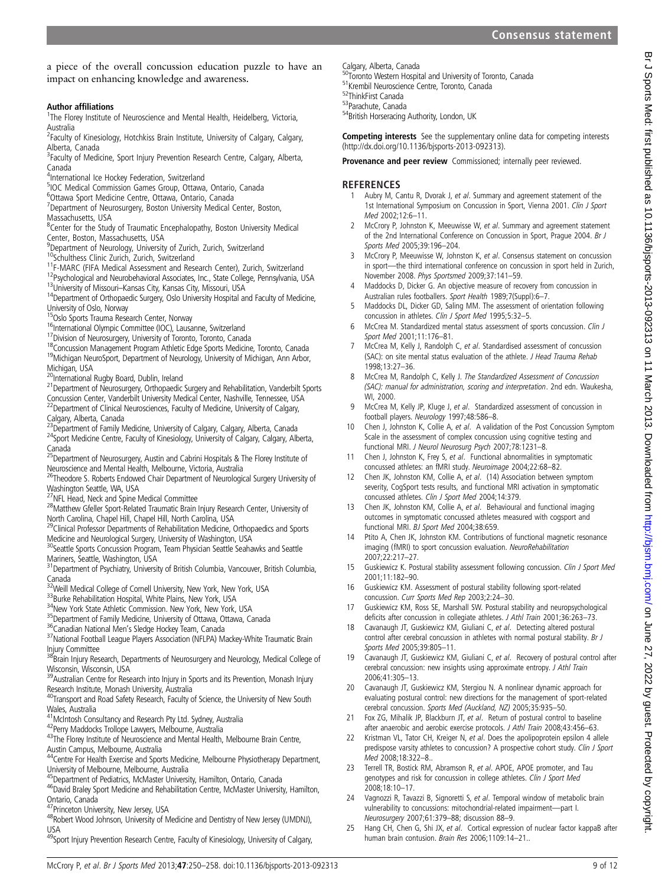a piece of the overall concussion education puzzle to have an impact on enhancing knowledge and awareness.

# Author affiliations <sup>1</sup>

<sup>1</sup>The Florey Institute of Neuroscience and Mental Health, Heidelberg, Victoria, Australia

<sup>2</sup> Faculty of Kinesiology, Hotchkiss Brain Institute, University of Calgary, Calgary, Alberta, Canada

<sup>3</sup> Faculty of Medicine, Sport Injury Prevention Research Centre, Calgary, Alberta, Canada

4 International Ice Hockey Federation, Switzerland

<sup>5</sup>IOC Medical Commission Games Group, Ottawa, Ontario, Canada

6 Ottawa Sport Medicine Centre, Ottawa, Ontario, Canada

<sup>7</sup> Department of Neurosurgery, Boston University Medical Center, Boston,

Massachusetts, USA

<sup>8</sup> Center for the Study of Traumatic Encephalopathy, Boston University Medical Center, Boston, Massachusetts, USA

<sup>9</sup>Department of Neurology, University of Zurich, Zurich, Switzerland

<sup>10</sup>Schulthess Clinic Zurich, Zurich, Switzerland<br><sup>11</sup>F-MARC (FIFA Medical Assessment and Research Center), Zurich, Switzerland<br><sup>12</sup>Psychological and Neurobehavioral Associates, Inc., State College, Pennsylvania, USA<br><sup>13</sup>U

University of Oslo, Norway<br><sup>15</sup>Oslo Sports Trauma Research Center, Norway

<sup>16</sup>International Olympic Committee (IOC), Lausanne, Switzerland<br><sup>17</sup> Division of Neurosurgery, University of Toronto, Toronto, Canada<br><sup>18</sup> Concussion Management Program Athletic Edge Sports Medicine, Toronto, Canada<br><sup>19</sup>

Michigan, USA<br><sup>20</sup>International Rugby Board, Dublin, Ireland

<sup>21</sup>Department of Neurosurgery, Orthopaedic Surgery and Rehabilitation, Vanderbilt Sports Concussion Center, Vanderbilt University Medical Center, Nashville, Tennessee, USA

<sup>22</sup> Department of Clinical Neurosciences, Faculty of Medicine, University of Calgary, Calgary, Alberta, Canada<br><sup>23</sup> Department of Family Medicine, University of Calgary, Calgary, Alberta, Canada

<sup>24</sup>Sport Medicine Centre, Faculty of Kinesiology, University of Calgary, Calgary, Alberta, Canada

<sup>25</sup>Department of Neurosurgery, Austin and Cabrini Hospitals & The Florey Institute of Neuroscience and Mental Health, Melbourne, Victoria, Australia

<sup>26</sup>Theodore S. Roberts Endowed Chair Department of Neurological Surgery University of Washington Seattle, WA, USA<br><sup>27</sup>NFL Head, Neck and Spine Medical Committee

<sup>28</sup>Matthew Gfeller Sport-Related Traumatic Brain Injury Research Center, University of North Carolina, Chapel Hill, Chapel Hill, North Carolina, USA

<sup>29</sup>Clinical Professor Departments of Rehabilitation Medicine, Orthopaedics and Sports Medicine and Neurological Surgery, University of Washington, USA

<sup>30</sup> Seattle Sports Concussion Program, Team Physician Seattle Seahawks and Seattle Mariners, Seattle, Washington, USA

<sup>31</sup> Department of Psychiatry, University of British Columbia, Vancouver, British Columbia, Canada<br><sup>32</sup>Weill Medical College of Cornell University, New York, New York, USA

<sup>33</sup>Burke Rehabilitation Hospital, White Plains, New York, USA<br><sup>34</sup>New York State Athletic Commission. New York, New York, USA<br><sup>35</sup>Department of Family Medicine, University of Ottawa, Ottawa, Canada<br><sup>36</sup>Canadian National M

Injury Committee

<sup>38</sup>Brain Injury Research, Departments of Neurosurgery and Neurology, Medical College of Wisconsin, Wisconsin, USA

<sup>39</sup> Australian Centre for Research into Injury in Sports and its Prevention, Monash Injury

Research Institute, Monash University, Australia<br><sup>40</sup>Transport and Road Safety Research, Faculty of Science, the University of New South

Wales, Australia<br><sup>41</sup> McIntosh Consultancy and Research Pty Ltd. Sydney, Australia

<sup>42</sup>Perry Maddocks Trollope Lawyers, Melbourne, Australia  $43$ The Florey Institute of Neuroscience and Mental Health, Melbourne Brain Centre,

Austin Campus, Melbourne, Australia<br><sup>44</sup>Centre For Health Exercise and Sports Medicine, Melbourne Physiotherapy Department, University of Melbourne, Melbourne, Australia<br><sup>45</sup>Department of Pediatrics, McMaster University, Hamilton, Ontario, Canada

<sup>46</sup>David Braley Sport Medicine and Rehabilitation Centre, McMaster University, Hamilton,

Ontario, Canada<br><sup>47</sup> Princeton University, New Jersey, USA

48Robert Wood Johnson, University of Medicine and Dentistry of New Jersey (UMDNJ), USA

<sup>49</sup>Sport Injury Prevention Research Centre, Faculty of Kinesiology, University of Calgary,

- Calgary, Alberta, Canada<br><sup>50</sup>Toronto Western Hospital and University of Toronto, Canada
- <sup>51</sup>Krembil Neuroscience Centre, Toronto, Canada <sup>52</sup>ThinkFirst Canada<br><sup>53</sup>Parachute, Canada 53Parachute, Canada 54British Horseracing Authority, London, UK

Competing interests See the supplementary online data for competing interests (http://dx.doi.org/10.1136/bjsports-2013-092313).

Provenance and peer review Commissioned; internally peer reviewed.

# **REFERENCES**

- 1 Aubry M, Cantu R, Dvorak J, et al. Summary and agreement statement of the 1st International Symposium on Concussion in Sport, Vienna 2001. Clin J Sport Med 2002;12:6–11.
- 2 McCrory P, Johnston K, Meeuwisse W, et al. Summary and agreement statement of the 2nd International Conference on Concussion in Sport, Prague 2004. Br J Sports Med 2005;39:196–204.
- 3 McCrory P, Meeuwisse W, Johnston K, et al. Consensus statement on concussion in sport—the third international conference on concussion in sport held in Zurich, November 2008. Phys Sportsmed 2009;37:141–59.
- Maddocks D, Dicker G. An objective measure of recovery from concussion in Australian rules footballers. Sport Health 1989;7(Suppl):6–7.
- 5 Maddocks DL, Dicker GD, Saling MM. The assessment of orientation following concussion in athletes. Clin J Sport Med 1995:5:32-5.
- 6 McCrea M. Standardized mental status assessment of sports concussion. Clin J Sport Med 2001;11:176–81.
- 7 McCrea M, Kelly J, Randolph C, et al. Standardised assessment of concussion (SAC): on site mental status evaluation of the athlete. J Head Trauma Rehab 1998;13:27–36.
- 8 McCrea M, Randolph C, Kelly J. The Standardized Assessment of Concussion (SAC): manual for administration, scoring and interpretation. 2nd edn. Waukesha, WI, 2000.
- 9 McCrea M, Kelly JP, Kluge J, et al. Standardized assessment of concussion in football players. Neurology 1997;48:586–8.
- 10 Chen J, Johnston K, Collie A, et al. A validation of the Post Concussion Symptom Scale in the assessment of complex concussion using cognitive testing and functional MRI. J Neurol Neurosurg Psych 2007;78:1231–8.
- 11 Chen J, Johnston K, Frey S, et al. Functional abnormalities in symptomatic concussed athletes: an fMRI study. Neuroimage 2004;22:68–82.
- 12 Chen JK, Johnston KM, Collie A, et al. (14) Association between symptom severity, CogSport tests results, and functional MRI activation in symptomatic concussed athletes. Clin J Sport Med 2004;14:379.
- 13 Chen JK, Johnston KM, Collie A, et al. Behavioural and functional imaging outcomes in symptomatic concussed athletes measured with cogsport and functional MRI. BJ Sport Med 2004;38:659.
- 14 Ptito A, Chen JK, Johnston KM. Contributions of functional magnetic resonance imaging (fMRI) to sport concussion evaluation. NeuroRehabilitation 2007;22:217–27.
- 15 Guskiewicz K. Postural stability assessment following concussion. Clin J Sport Med 2001;11:182–90.
- 16 Guskiewicz KM. Assessment of postural stability following sport-related concussion. Curr Sports Med Rep 2003;2:24–30.
- 17 Guskiewicz KM, Ross SE, Marshall SW. Postural stability and neuropsychological deficits after concussion in collegiate athletes. J Athl Train 2001;36:263–73.
- 18 Cavanaugh JT, Guskiewicz KM, Giuliani C, et al. Detecting altered postural control after cerebral concussion in athletes with normal postural stability. Br J Sports Med 2005;39:805–11.
- 19 Cavanaugh JT, Guskiewicz KM, Giuliani C, et al. Recovery of postural control after cerebral concussion: new insights using approximate entropy. J Athl Train 2006;41:305–13.
- 20 Cavanaugh JT, Guskiewicz KM, Stergiou N. A nonlinear dynamic approach for evaluating postural control: new directions for the management of sport-related cerebral concussion. Sports Med (Auckland, NZ) 2005;35:935–50.
- 21 Fox ZG, Mihalik JP, Blackburn JT, et al. Return of postural control to baseline after anaerobic and aerobic exercise protocols. J Athl Train 2008;43:456–63.
- 22 Kristman VL, Tator CH, Kreiger N, et al. Does the apolipoprotein epsilon 4 allele predispose varsity athletes to concussion? A prospective cohort study. Clin J Sport Med 2008;18:322–8..
- 23 Terrell TR, Bostick RM, Abramson R, et al. APOE, APOE promoter, and Tau genotypes and risk for concussion in college athletes. Clin J Sport Med 2008;18:10–17.
- 24 Vagnozzi R, Tavazzi B, Signoretti S, et al. Temporal window of metabolic brain vulnerability to concussions: mitochondrial-related impairment—part I. Neurosurgery 2007;61:379–88; discussion 88–9.
- 25 Hang CH, Chen G, Shi JX, et al. Cortical expression of nuclear factor kappaB after human brain contusion. Brain Res 2006;1109:14-21..

Br J Sports Med: first published as 10.1136/bjsports-2013-092313 on 11 March 2013. Downloaded from http://bjsm.bmj.com/ on June 27, 2022 by guest. Protected by copyright Br J Sports Med: first published as 10.1136/bjsports-2013-009219 on 11 March 2013. Downloaded from <http://bjsm.bmj.com/> On June 27, 2022 by guest. Protected by copyright.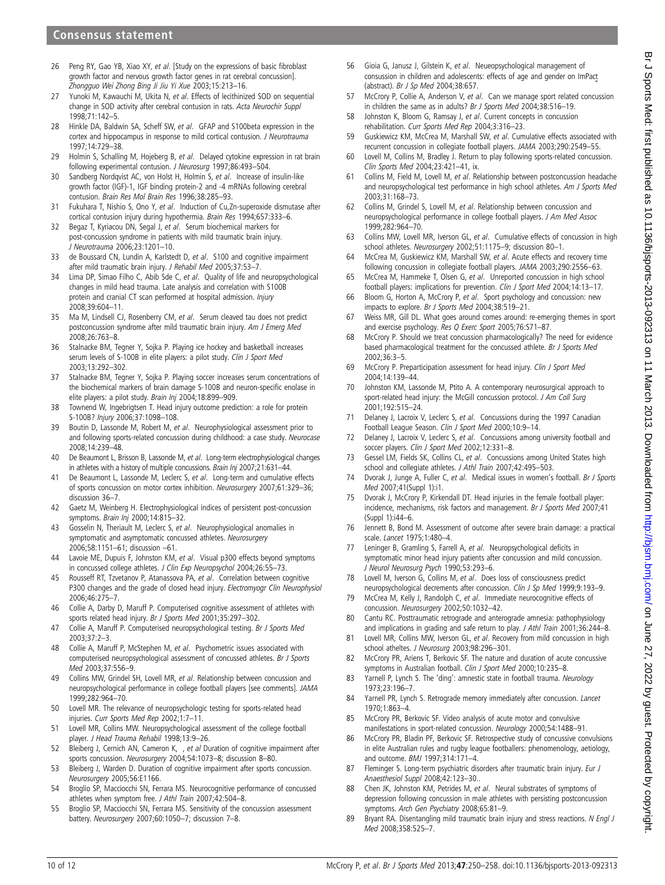- 26 Peng RY, Gao YB, Xiao XY, et al. [Study on the expressions of basic fibroblast growth factor and nervous growth factor genes in rat cerebral concussion]. Zhongguo Wei Zhong Bing Ji Jiu Yi Xue 2003;15:213–16.
- 27 Yunoki M, Kawauchi M, Ukita N, et al. Effects of lecithinized SOD on sequential change in SOD activity after cerebral contusion in rats. Acta Neurochir Suppl 1998;71:142–5.
- 28 Hinkle DA, Baldwin SA, Scheff SW, et al. GFAP and S100beta expression in the cortex and hippocampus in response to mild cortical contusion. J Neurotrauma 1997;14:729–38.
- 29 Holmin S, Schalling M, Hojeberg B, et al. Delayed cytokine expression in rat brain following experimental contusion. J Neurosurg 1997;86:493–504.
- 30 Sandberg Nordqvist AC, von Holst H, Holmin S, et al. Increase of insulin-like growth factor (IGF)-1, IGF binding protein-2 and -4 mRNAs following cerebral contusion. Brain Res Mol Brain Res 1996;38:285–93.
- 31 Fukuhara T, Nishio S, Ono Y, et al. Induction of Cu,Zn-superoxide dismutase after cortical contusion injury during hypothermia. Brain Res 1994;657:333–6.
- 32 Begaz T, Kyriacou DN, Segal J, et al. Serum biochemical markers for post-concussion syndrome in patients with mild traumatic brain injury. J Neurotrauma 2006;23:1201–10.
- 33 de Boussard CN, Lundin A, Karlstedt D, et al. S100 and cognitive impairment after mild traumatic brain injury. J Rehabil Med 2005;37:53–7.
- 34 Lima DP, Simao Filho C, Abib Sde C, et al. Quality of life and neuropsychological changes in mild head trauma. Late analysis and correlation with S100B protein and cranial CT scan performed at hospital admission. Injury 2008;39:604–11.
- 35 Ma M, Lindsell CJ, Rosenberry CM, et al. Serum cleaved tau does not predict postconcussion syndrome after mild traumatic brain injury. Am J Emerg Med 2008;26:763–8.
- 36 Stalnacke BM, Tegner Y, Sojka P. Playing ice hockey and basketball increases serum levels of S-100B in elite players: a pilot study. Clin J Sport Med 2003;13:292–302.
- 37 Stalnacke BM, Tegner Y, Sojka P. Playing soccer increases serum concentrations of the biochemical markers of brain damage S-100B and neuron-specific enolase in elite players: a pilot study. Brain Inj 2004;18:899–909.
- 38 Townend W, Ingebrigtsen T. Head injury outcome prediction: a role for protein S-100B? Injury 2006;37:1098–108.
- 39 Boutin D, Lassonde M, Robert M, et al. Neurophysiological assessment prior to and following sports-related concussion during childhood: a case study. Neurocase 2008;14:239–48.
- 40 De Beaumont L, Brisson B, Lassonde M, et al. Long-term electrophysiological changes in athletes with a history of multiple concussions. Brain Inj 2007;21:631-44.
- De Beaumont L, Lassonde M, Leclerc S, et al. Long-term and cumulative effects of sports concussion on motor cortex inhibition. Neurosurgery 2007;61:329–36; discussion 36–7.
- 42 Gaetz M, Weinberg H. Electrophysiological indices of persistent post-concussion symptoms. Brain Inj 2000;14:815-32.
- 43 Gosselin N, Theriault M, Leclerc S, et al. Neurophysiological anomalies in symptomatic and asymptomatic concussed athletes. Neurosurgery 2006;58:1151–61; discussion –61.
- 44 Lavoie ME, Dupuis F, Johnston KM, et al. Visual p300 effects beyond symptoms in concussed college athletes. J Clin Exp Neuropsychol 2004;26:55-73.
- 45 Rousseff RT, Tzvetanov P, Atanassova PA, et al. Correlation between cognitive P300 changes and the grade of closed head injury. Electromyogr Clin Neurophysiol 2006;46:275–7.
- 46 Collie A, Darby D, Maruff P. Computerised cognitive assessment of athletes with sports related head injury. Br J Sports Med 2001;35:297–302.
- 47 Collie A, Maruff P. Computerised neuropsychological testing. Br J Sports Med 2003;37:2–3.
- 48 Collie A, Maruff P, McStephen M, et al. Psychometric issues associated with computerised neuropsychological assessment of concussed athletes. Br J Sports Med 2003;37:556–9.
- 49 Collins MW, Grindel SH, Lovell MR, et al. Relationship between concussion and neuropsychological performance in college football players [see comments]. JAMA 1999;282:964–70.
- 50 Lovell MR. The relevance of neuropsychologic testing for sports-related head injuries. Curr Sports Med Rep 2002;1:7–11.
- 51 Lovell MR, Collins MW. Neuropsychological assessment of the college football player. J Head Trauma Rehabil 1998;13:9–26.
- 52 Bleiberg J, Cernich AN, Cameron K, , et al Duration of cognitive impairment after sports concussion. Neurosurgery 2004;54:1073–8; discussion 8–80.
- 53 Bleiberg J, Warden D. Duration of cognitive impairment after sports concussion. Neurosurgery 2005;56:E1166.
- 54 Broglio SP, Macciocchi SN, Ferrara MS. Neurocognitive performance of concussed athletes when symptom free. J Athl Train 2007;42:504–8.
- 55 Broglio SP, Macciocchi SN, Ferrara MS. Sensitivity of the concussion assessment battery. Neurosurgery 2007;60:1050–7; discussion 7–8.
- 56 Gioia G, Janusz J, Gilstein K, et al. Neueopsychological management of consussion in children and adolescents: effects of age and gender on ImPact (abstract). Br J Sp Med 2004;38:657.
- 57 McCrory P, Collie A, Anderson V, et al. Can we manage sport related concussion in children the same as in adults? Br J Sports Med 2004;38:516–19.
- 58 Johnston K, Bloom G, Ramsay J, et al. Current concepts in concussion rehabilitation. Curr Sports Med Rep 2004;3:316–23.
- 59 Guskiewicz KM, McCrea M, Marshall SW, et al. Cumulative effects associated with recurrent concussion in collegiate football players. JAMA 2003;290:2549–55.
- 60 Lovell M, Collins M, Bradley J. Return to play following sports-related concussion. Clin Sports Med 2004;23:421–41, ix.
- 61 Collins M, Field M, Lovell M, et al. Relationship between postconcussion headache and neuropsychological test performance in high school athletes. Am J Sports Med 2003;31:168–73.
- 62 Collins M, Grindel S, Lovell M, et al. Relationship between concussion and neuropsychological performance in college football players. J Am Med Assoc 1999;282:964–70.
- 63 Collins MW, Lovell MR, Iverson GL, et al. Cumulative effects of concussion in high school athletes. Neurosurgery 2002;51:1175–9; discussion 80–1.
- 64 McCrea M, Guskiewicz KM, Marshall SW, et al. Acute effects and recovery time following concussion in collegiate football players. JAMA 2003;290:2556–63.
- 65 McCrea M, Hammeke T, Olsen G, et al. Unreported concussion in high school football players: implications for prevention. Clin J Sport Med 2004;14:13-17.
- 66 Bloom G, Horton A, McCrory P, et al. Sport psychology and concussion: new impacts to explore. Br J Sports Med 2004;38:519–21.
- 67 Weiss MR, Gill DL. What goes around comes around: re-emerging themes in sport and exercise psychology. Res Q Exerc Sport 2005;76:S71–87.
- 68 McCrory P. Should we treat concussion pharmacologically? The need for evidence based pharmacological treatment for the concussed athlete. Br J Sports Med 2002;36:3–5.
- 69 McCrory P. Preparticipation assessment for head injury. Clin J Sport Med 2004;14:139–44.
- 70 Johnston KM, Lassonde M, Ptito A. A contemporary neurosurgical approach to sport-related head injury: the McGill concussion protocol. J Am Coll Surg 2001;192:515–24.
- 71 Delaney J, Lacroix V, Leclerc S, et al. Concussions during the 1997 Canadian Football League Season. Clin J Sport Med 2000;10:9–14.
- 72 Delaney J, Lacroix V, Leclerc S, et al. Concussions among university football and soccer players. Clin J Sport Med 2002;12:331-8.
- 73 Gessel LM, Fields SK, Collins CL, et al. Concussions among United States high school and collegiate athletes. J Athl Train 2007;42:495–503.
- 74 Dvorak J, Junge A, Fuller C, et al. Medical issues in women's football. Br J Sports Med 2007;41(Suppl 1):i1.
- 75 Dvorak J, McCrory P, Kirkendall DT. Head injuries in the female football player: incidence, mechanisms, risk factors and management. Br J Sports Med 2007;41 (Suppl 1):i44–6.
- 76 Jennett B, Bond M. Assessment of outcome after severe brain damage: a practical scale. Lancet 1975;1:480–4.
- 77 Leninger B, Gramling S, Farrell A, et al. Neuropsychological deficits in symptomatic minor head injury patients after concussion and mild concussion. J Neurol Neurosurg Psych 1990;53:293–6.
- 78 Lovell M, Iverson G, Collins M, et al. Does loss of consciousness predict neuropsychological decrements after concussion. Clin J Sp Med 1999;9:193-9.
- 79 McCrea M, Kelly J, Randolph C, et al. Immediate neurocognitive effects of concussion. Neurosurgery 2002;50:1032–42.
- 80 Cantu RC. Posttraumatic retrograde and anterograde amnesia: pathophysiology and implications in grading and safe return to play. J Athl Train 2001;36:244-8.
- 81 Lovell MR, Collins MW, Iverson GL, et al. Recovery from mild concussion in high school atheltes. J Neurosurg 2003;98:296–301.
- 82 McCrory PR, Ariens T, Berkovic SF. The nature and duration of acute concussive symptoms in Australian football. Clin J Sport Med 2000;10:235-8.
- 83 Yarnell P, Lynch S. The 'ding': amnestic state in football trauma. Neurology 1973;23:196–7.
- 84 Yarnell PR, Lynch S. Retrograde memory immediately after concussion. Lancet 1970;1:863–4.
- 85 McCrory PR, Berkovic SF. Video analysis of acute motor and convulsive manifestations in sport-related concussion. Neurology 2000;54:1488–91.
- 86 McCrory PR, Bladin PF, Berkovic SF. Retrospective study of concussive convulsions in elite Australian rules and rugby league footballers: phenomenology, aetiology, and outcome. BMJ 1997;314:171–4.
- 87 Fleminger S. Long-term psychiatric disorders after traumatic brain injury. Eur J Anaesthesiol Suppl 2008;42:123–30..
- 88 Chen JK, Johnston KM, Petrides M, et al. Neural substrates of symptoms of depression following concussion in male athletes with persisting postconcussion symptoms. Arch Gen Psychiatry 2008;65:81–9.
- 89 Bryant RA. Disentangling mild traumatic brain injury and stress reactions. N Engl J Med 2008;358:525–7.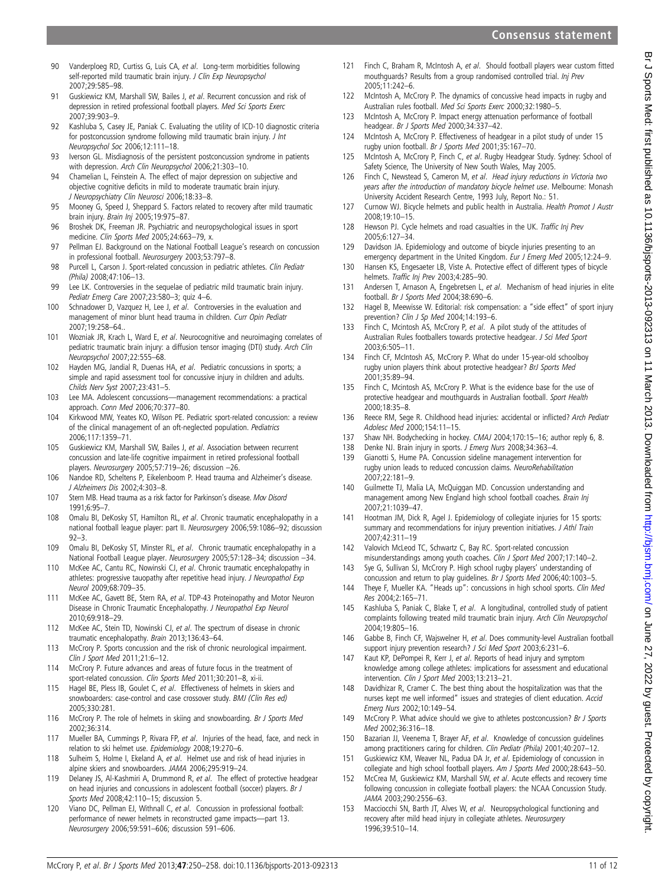2007;29:585–98.

2007;39:903–9.

93 Iverson GL. Misdiagnosis of the persistent postconcussion syndrome in patients with depression. Arch Clin Neuropsychol 2006;21:303–10.

92 Kashluba S, Casey JE, Paniak C. Evaluating the utility of ICD-10 diagnostic criteria

90 Vanderploeg RD, Curtiss G, Luis CA, et al. Long-term morbidities following self-reported mild traumatic brain injury. J Clin Exp Neuropsychol

91 Guskiewicz KM, Marshall SW, Bailes J, et al. Recurrent concussion and risk of depression in retired professional football players. Med Sci Sports Exerc

- 94 Chamelian L, Feinstein A. The effect of major depression on subjective and objective cognitive deficits in mild to moderate traumatic brain injury. J Neuropsychiatry Clin Neurosci 2006;18:33–8.
- 95 Mooney G, Speed J, Sheppard S. Factors related to recovery after mild traumatic brain injury. Brain Ini 2005:19:975-87.
- 96 Broshek DK, Freeman JR. Psychiatric and neuropsychological issues in sport medicine. Clin Sports Med 2005;24:663–79, x.
- 97 Pellman EJ. Background on the National Football League's research on concussion in professional football. Neurosurgery 2003;53:797–8.
- 98 Purcell L, Carson J. Sport-related concussion in pediatric athletes. Clin Pediatr (Phila) 2008;47:106–13.
- 99 Lee LK. Controversies in the sequelae of pediatric mild traumatic brain injury. Pediatr Emerg Care 2007;23:580–3; quiz 4–6.
- 100 Schnadower D, Vazquez H, Lee J, et al. Controversies in the evaluation and management of minor blunt head trauma in children. Curr Opin Pediatr 2007;19:258–64..
- 101 Wozniak JR, Krach L, Ward E, et al. Neurocognitive and neuroimaging correlates of pediatric traumatic brain injury: a diffusion tensor imaging (DTI) study. Arch Clin Neuropsychol 2007;22:555–68.
- 102 Hayden MG, Jandial R, Duenas HA, et al. Pediatric concussions in sports; a simple and rapid assessment tool for concussive injury in children and adults. Childs Nerv Syst 2007;23:431–5.
- 103 Lee MA. Adolescent concussions—management recommendations: a practical approach. Conn Med 2006;70:377–80.
- 104 Kirkwood MW, Yeates KO, Wilson PE. Pediatric sport-related concussion: a review of the clinical management of an oft-neglected population. Pediatrics 2006;117:1359–71.
- 105 Guskiewicz KM, Marshall SW, Bailes J, et al. Association between recurrent concussion and late-life cognitive impairment in retired professional football players. Neurosurgery 2005;57:719–26; discussion –26.
- 106 Nandoe RD, Scheltens P, Eikelenboom P. Head trauma and Alzheimer's disease. J Alzheimers Dis 2002;4:303–8.
- 107 Stern MB. Head trauma as a risk factor for Parkinson's disease. Mov Disord 1991;6:95–7.
- 108 Omalu BI, DeKosky ST, Hamilton RL, et al. Chronic traumatic encephalopathy in a national football league player: part II. Neurosurgery 2006;59:1086–92; discussion  $92 - 3$
- 109 Omalu BI, DeKosky ST, Minster RL, et al. Chronic traumatic encephalopathy in a National Football League player. Neurosurgery 2005;57:128–34; discussion –34.
- 110 McKee AC, Cantu RC, Nowinski CJ, et al. Chronic traumatic encephalopathy in athletes: progressive tauopathy after repetitive head injury. J Neuropathol Exp Neurol 2009;68:709–35.
- 111 McKee AC, Gavett BE, Stern RA, et al. TDP-43 Proteinopathy and Motor Neuron Disease in Chronic Traumatic Encephalopathy. J Neuropathol Exp Neurol 2010;69:918–29.
- 112 McKee AC, Stein TD, Nowinski CJ, et al. The spectrum of disease in chronic traumatic encephalopathy. Brain 2013;136:43–64.
- 113 McCrory P. Sports concussion and the risk of chronic neurological impairment. Clin J Sport Med 2011;21:6–12.
- 114 McCrory P. Future advances and areas of future focus in the treatment of sport-related concussion. Clin Sports Med 2011;30:201-8, xi-ii.
- 115 Hagel BE, Pless IB, Goulet C, et al. Effectiveness of helmets in skiers and snowboarders: case-control and case crossover study. BMJ (Clin Res ed) 2005;330:281.
- 116 McCrory P. The role of helmets in skiing and snowboarding. Br J Sports Med 2002;36:314.
- 117 Mueller BA, Cummings P, Rivara FP, et al. Injuries of the head, face, and neck in relation to ski helmet use. Epidemiology 2008;19:270–6.
- 118 Sulheim S, Holme I, Ekeland A, et al. Helmet use and risk of head injuries in alpine skiers and snowboarders. JAMA 2006;295:919–24.
- 119 Delaney JS, Al-Kashmiri A, Drummond R, et al. The effect of protective headgear on head injuries and concussions in adolescent football (soccer) players. Br J Sports Med 2008;42:110–15; discussion 5.
- 120 Viano DC, Pellman EJ, Withnall C, et al. Concussion in professional football: performance of newer helmets in reconstructed game impacts—part 13. Neurosurgery 2006;59:591–606; discussion 591–606.
- 121 Finch C, Braham R, McIntosh A, et al. Should football players wear custom fitted mouthguards? Results from a group randomised controlled trial. Inj Prev 2005;11:242–6.
- 122 McIntosh A, McCrory P. The dynamics of concussive head impacts in rugby and Australian rules football. Med Sci Sports Exerc 2000;32:1980–5.
- 123 McIntosh A, McCrory P. Impact energy attenuation performance of football headgear. Br J Sports Med 2000;34:337-42.
- 124 McIntosh A, McCrory P. Effectiveness of headgear in a pilot study of under 15 rugby union football. Br J Sports Med 2001;35:167–70.
- 125 McIntosh A, McCrory P, Finch C, et al. Rugby Headgear Study. Sydney: School of Safety Science, The University of New South Wales, May 2005.
- 126 Finch C, Newstead S, Cameron M, et al. Head injury reductions in Victoria two years after the introduction of mandatory bicycle helmet use. Melbourne: Monash University Accident Research Centre, 1993 July, Report No.: 51.
- 127 Curnow WJ. Bicycle helmets and public health in Australia. Health Promot J Austr 2008;19:10–15.
- 128 Hewson PJ. Cycle helmets and road casualties in the UK. Traffic Inj Prev 2005;6:127–34.
- 129 Davidson JA. Epidemiology and outcome of bicycle injuries presenting to an emergency department in the United Kingdom. Eur J Emerg Med 2005;12:24–9.
- 130 Hansen KS, Engesaeter LB, Viste A. Protective effect of different types of bicycle helmets. Traffic Inj Prev 2003;4:285-90.
- 131 Andersen T, Arnason A, Engebretsen L, et al. Mechanism of head injuries in elite football. Br J Sports Med 2004;38:690–6.
- 132 Hagel B, Meewisse W. Editorial: risk compensation: a "side effect" of sport injury prevention? Clin J Sp Med 2004;14:193–6.
- 133 Finch C, Mcintosh AS, McCrory P, et al. A pilot study of the attitudes of Australian Rules footballers towards protective headgear. J Sci Med Sport 2003;6:505–11.
- 134 Finch CF, McIntosh AS, McCrory P. What do under 15-year-old schoolboy rugby union players think about protective headgear? BrJ Sports Med 2001;35:89–94.
- 135 Finch C, Mcintosh AS, McCrory P. What is the evidence base for the use of protective headgear and mouthguards in Australian football. Sport Health 2000;18:35–8.
- 136 Reece RM, Sege R. Childhood head injuries: accidental or inflicted? Arch Pediatr Adolesc Med 2000;154:11–15.
- 137 Shaw NH. Bodychecking in hockey. CMAJ 2004;170:15–16; author reply 6, 8.
- 138 Denke NJ. Brain injury in sports. J Emerg Nurs 2008;34:363–4.
- 139 Gianotti S, Hume PA. Concussion sideline management intervention for rugby union leads to reduced concussion claims. NeuroRehabilitation 2007;22:181–9.
- 140 Guilmette TJ, Malia LA, McQuiggan MD. Concussion understanding and management among New England high school football coaches. Brain Inj 2007;21:1039–47.
- 141 Hootman JM, Dick R, Agel J. Epidemiology of collegiate injuries for 15 sports: summary and recommendations for injury prevention initiatives. J Athl Train 2007;42:311–19
- 142 Valovich McLeod TC, Schwartz C, Bay RC. Sport-related concussion misunderstandings among youth coaches. Clin J Sport Med 2007;17:140–2.
- 143 Sye G, Sullivan SJ, McCrory P. High school rugby players' understanding of concussion and return to play guidelines. Br J Sports Med 2006;40:1003–5.
- 144 Theye F, Mueller KA. "Heads up": concussions in high school sports. Clin Med Res 2004;2:165–71.
- 145 Kashluba S, Paniak C, Blake T, et al. A longitudinal, controlled study of patient complaints following treated mild traumatic brain injury. Arch Clin Neuropsychol 2004;19:805–16.
- 146 Gabbe B, Finch CF, Wajswelner H, et al. Does community-level Australian football support injury prevention research? J Sci Med Sport 2003;6:231-6.
- 147 Kaut KP, DePompei R, Kerr J, et al. Reports of head injury and symptom knowledge among college athletes: implications for assessment and educational intervention. Clin J Sport Med 2003;13:213–21.
- 148 Davidhizar R, Cramer C. The best thing about the hospitalization was that the nurses kept me well informed" issues and strategies of client education. Accid Emerg Nurs 2002;10:149–54.
- 149 McCrory P. What advice should we give to athletes postconcussion? Br J Sports Med 2002;36:316–18.
- 150 Bazarian JJ, Veenema T, Brayer AF, et al. Knowledge of concussion guidelines among practitioners caring for children. Clin Pediatr (Phila) 2001;40:207–12.
- 151 Guskiewicz KM, Weaver NL, Padua DA Jr, et al. Epidemiology of concussion in collegiate and high school football players. Am J Sports Med 2000;28:643-50.
- 152 McCrea M, Guskiewicz KM, Marshall SW, et al. Acute effects and recovery time following concussion in collegiate football players: the NCAA Concussion Study. JAMA 2003;290:2556–63.
- 153 Macciocchi SN, Barth JT, Alves W, et al. Neuropsychological functioning and recovery after mild head injury in collegiate athletes. Neurosurgery 1996;39:510–14.

# Consensus statement